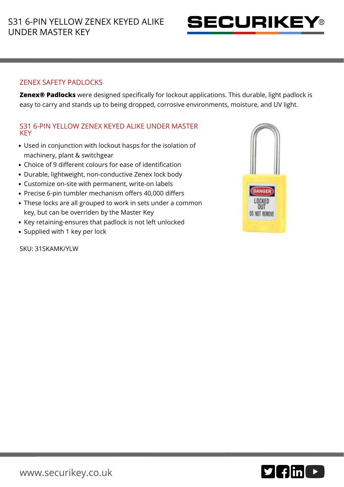

## ZENEX SAFETY PADLOCKS

**Zenex® Padlocks** were designed specifically for lockout applications. This durable, light padlock is easy to carry and stands up to being dropped, corrosive environments, moisture, and UV light.

## S31 6-PIN YELLOW ZENEX KEYED ALIKE UNDER MASTER **KEY**

- Used in conjunction with lockout hasps for the isolation of machinery, plant & switchgear
- Choice of 9 different colours for ease of identification
- Durable, lightweight, non-conductive Zenex lock body
- Customize on-site with permanent, write-on labels
- Precise 6-pin tumbler mechanism offers 40,000 differs
- These locks are all grouped to work in sets under a common key, but can be overriden by the Master Key
- Key retaining-ensures that padlock is not left unlocked
- Supplied with 1 key per lock

SKU: 31SKAMK/YLW



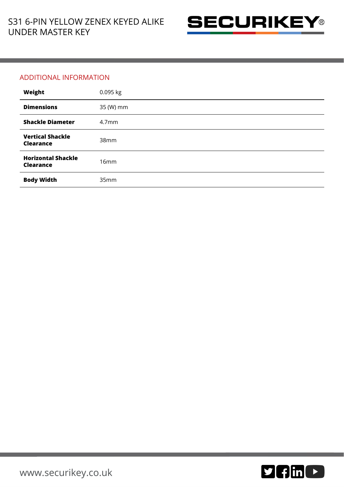

## ADDITIONAL INFORMATION

| Weight                                        | 0.095 kg          |
|-----------------------------------------------|-------------------|
| <b>Dimensions</b>                             | 35 (W) mm         |
| <b>Shackle Diameter</b>                       | 4.7 <sub>mm</sub> |
| <b>Vertical Shackle</b><br><b>Clearance</b>   | 38mm              |
| <b>Horizontal Shackle</b><br><b>Clearance</b> | 16mm              |
| <b>Body Width</b>                             | 35mm              |

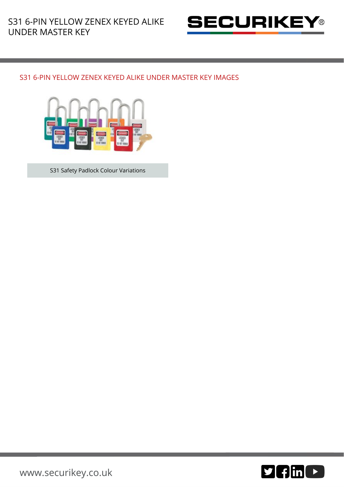

## S31 6-PIN YELLOW ZENEX KEYED ALIKE UNDER MASTER KEY IMAGES



S31 Safety Padlock Colour Variations



[www.securikey.co.uk](http://www.securikey.co.uk/)